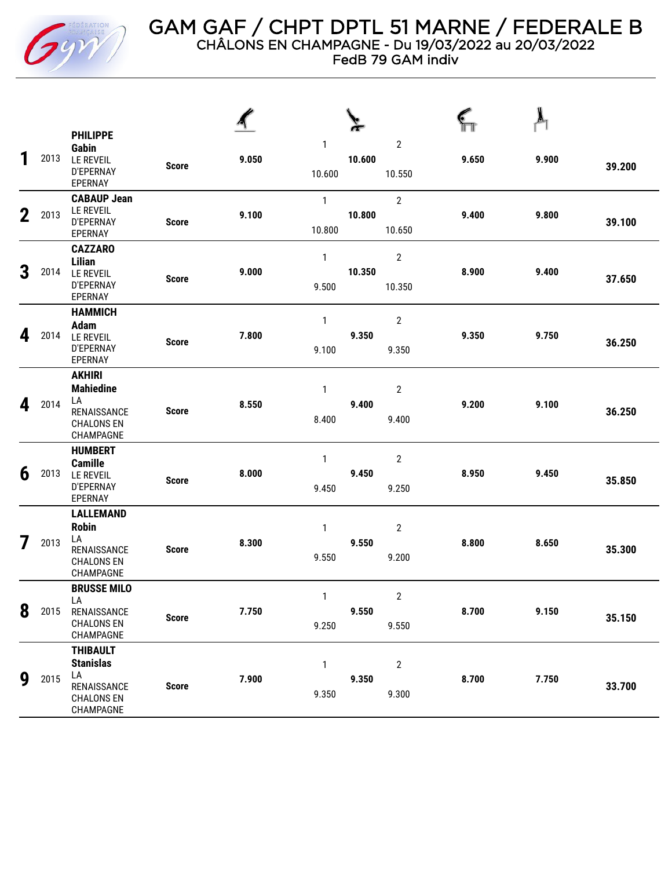

## GAM GAF / CHPT DPTL 51 MARNE / FEDERALE B CHÂLONS EN CHAMPAGNE - Du 19/03/2022 au 20/03/2022

FedB 79 GAM indiv

| 1           | 2013 | <b>PHILIPPE</b><br>Gabin<br><b>LE REVEIL</b><br>D'EPERNAY<br>EPERNAY                       | <b>Score</b> | 9.050 | $\mathbf{1}$<br>10.600  | 10.600 | $\boldsymbol{2}$<br>10.550 | 9.650 | 9.900 | 39.200 |
|-------------|------|--------------------------------------------------------------------------------------------|--------------|-------|-------------------------|--------|----------------------------|-------|-------|--------|
| $\mathbf 2$ | 2013 | <b>CABAUP Jean</b><br><b>LE REVEIL</b><br><b>D'EPERNAY</b><br>EPERNAY                      | <b>Score</b> | 9.100 | $\mathbf{1}$<br>10.800  | 10.800 | $\overline{2}$<br>10.650   | 9.400 | 9.800 | 39.100 |
| 3           | 2014 | <b>CAZZARO</b><br><b>Lilian</b><br><b>LE REVEIL</b><br>D'EPERNAY<br>EPERNAY                | <b>Score</b> | 9.000 | $\mathbf{1}$<br>9.500   | 10.350 | $\boldsymbol{2}$<br>10.350 | 8.900 | 9.400 | 37.650 |
| 4           | 2014 | <b>HAMMICH</b><br><b>Adam</b><br><b>LE REVEIL</b><br><b>D'EPERNAY</b><br>EPERNAY           | <b>Score</b> | 7.800 | $\mathbf{1}$<br>9.100   | 9.350  | $\overline{2}$<br>9.350    | 9.350 | 9.750 | 36.250 |
| 4           | 2014 | <b>AKHIRI</b><br><b>Mahiedine</b><br>LA<br>RENAISSANCE<br><b>CHALONS EN</b><br>CHAMPAGNE   | <b>Score</b> | 8.550 | $\mathbf{1}$<br>8.400   | 9.400  | $\mathbf{2}$<br>9.400      | 9.200 | 9.100 | 36.250 |
| 6           | 2013 | <b>HUMBERT</b><br><b>Camille</b><br><b>LE REVEIL</b><br>D'EPERNAY<br>EPERNAY               | <b>Score</b> | 8.000 | $\mathbf{1}$<br>9.450   | 9.450  | $\mathbf{2}$<br>9.250      | 8.950 | 9.450 | 35.850 |
| 7           | 2013 | <b>LALLEMAND</b><br><b>Robin</b><br>LA<br>RENAISSANCE<br><b>CHALONS EN</b><br>CHAMPAGNE    | <b>Score</b> | 8.300 | $\mathbf{1}$<br>9.550   | 9.550  | $\overline{2}$<br>9.200    | 8.800 | 8.650 | 35.300 |
| 8           | 2015 | <b>BRUSSE MILO</b><br>LA<br>RENAISSANCE<br><b>CHALONS EN</b><br>CHAMPAGNE                  | <b>Score</b> | 7.750 | $\overline{1}$<br>9.250 | 9.550  | $\overline{2}$<br>9.550    | 8.700 | 9.150 | 35.150 |
| 9           | 2015 | <b>THIBAULT</b><br><b>Stanislas</b><br>LA<br>RENAISSANCE<br><b>CHALONS EN</b><br>CHAMPAGNE | <b>Score</b> | 7.900 | $\mathbf{1}$<br>9.350   | 9.350  | $\overline{2}$<br>9.300    | 8.700 | 7.750 | 33.700 |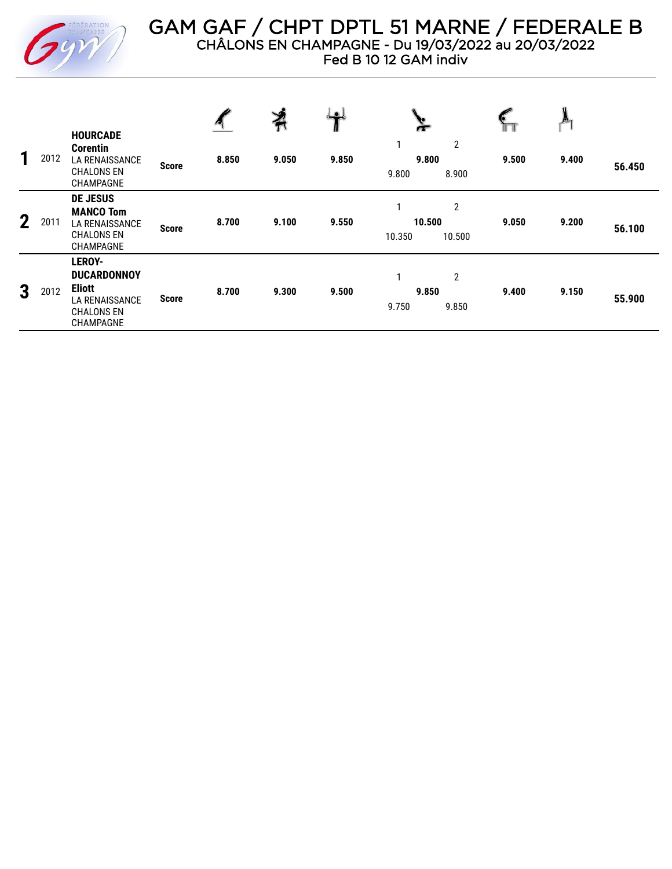

GAM GAF / CHPT DPTL 51 MARNE / FEDERALE B CHÂLONS EN CHAMPAGNE - Du 19/03/2022 au 20/03/2022

Fed B 10 12 GAM indiv

|             |      |                                                                                                                 |              |       | ⋡     | $\bullet$ |                                                   |       |       |        |
|-------------|------|-----------------------------------------------------------------------------------------------------------------|--------------|-------|-------|-----------|---------------------------------------------------|-------|-------|--------|
| 1           | 2012 | <b>HOURCADE</b><br><b>Corentin</b><br><b>LA RENAISSANCE</b><br><b>CHALONS EN</b><br>CHAMPAGNE                   | <b>Score</b> | 8.850 | 9.050 | 9.850     | $\overline{2}$<br>1<br>9.800<br>9.800<br>8.900    | 9.500 | 9.400 | 56.450 |
| $\mathbf 2$ | 2011 | <b>DE JESUS</b><br><b>MANCO Tom</b><br><b>LA RENAISSANCE</b><br><b>CHALONS EN</b><br>CHAMPAGNE                  | <b>Score</b> | 8.700 | 9.100 | 9.550     | $\overline{2}$<br>1<br>10.500<br>10.350<br>10.500 | 9.050 | 9.200 | 56.100 |
| 3           | 2012 | <b>LEROY-</b><br><b>DUCARDONNOY</b><br><b>Eliott</b><br><b>LA RENAISSANCE</b><br><b>CHALONS EN</b><br>CHAMPAGNE | <b>Score</b> | 8.700 | 9.300 | 9.500     | 2<br>1<br>9.850<br>9.850<br>9.750                 | 9.400 | 9.150 | 55.900 |